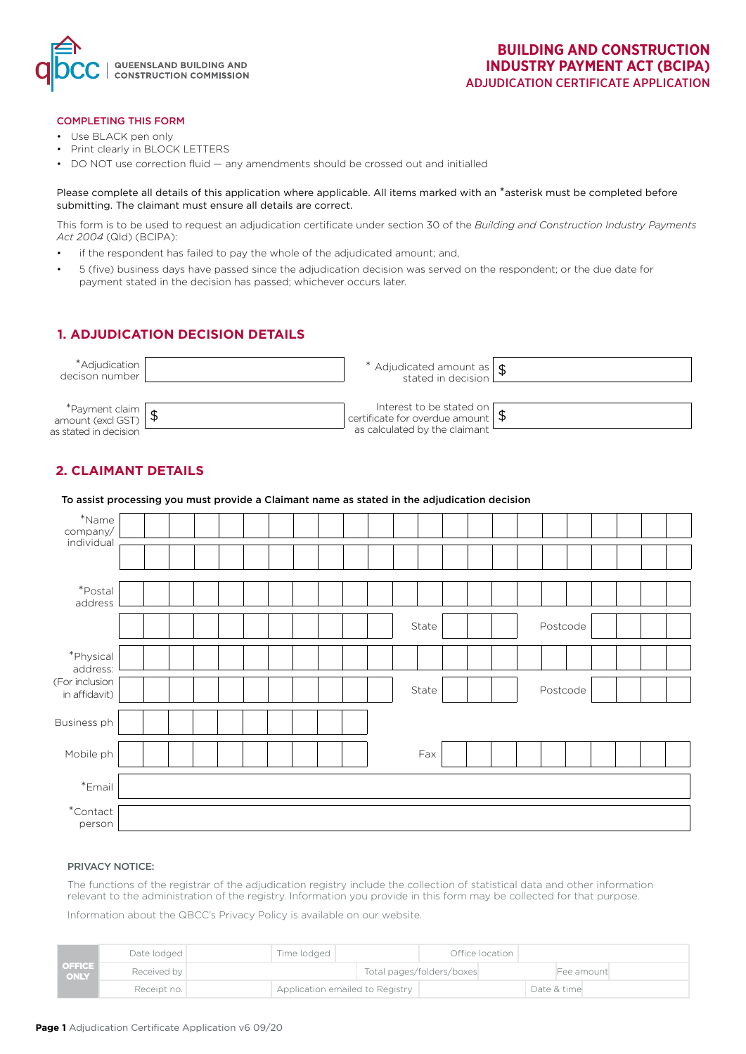

#### COMPLETING THIS FORM

- Use BLACK pen only
- Print clearly in BLOCK LETTERS
- DO NOT use correction fluid any amendments should be crossed out and initialled

Please complete all details of this application where applicable. All items marked with an \*asterisk must be completed before submitting. The claimant must ensure all details are correct.

This form is to be used to request an adjudication certificate under section 30 of the *Building and Construction Industry Payments Act 2004* (Qld) (BCIPA):

- if the respondent has failed to pay the whole of the adjudicated amount; and,
- 5 (five) business days have passed since the adjudication decision was served on the respondent; or the due date for payment stated in the decision has passed; whichever occurs later.

### **1. ADJUDICATION DECISION DETAILS**

| *Adjudication  <br>decison number                               | * Adjudicated amount as $\frac{1}{3}$                                          |  |
|-----------------------------------------------------------------|--------------------------------------------------------------------------------|--|
| $*$ Payment claim<br>amount (excl GST)<br>as stated in decision | Interest to be stated on $\sqrt{\frac{1}{2}}$<br>as calculated by the claimant |  |

## **2. CLAIMANT DETAILS**

|                                 | To assist processing you must provide a Claimant name as stated in the adjudication decision |
|---------------------------------|----------------------------------------------------------------------------------------------|
| $*$ Name<br>company/            |                                                                                              |
| individual                      |                                                                                              |
| *Postal<br>address              |                                                                                              |
|                                 | Postcode<br>State                                                                            |
| *Physical<br>address:           |                                                                                              |
| (For inclusion<br>in affidavit) | Postcode<br>State                                                                            |
| Business ph                     |                                                                                              |
| Mobile ph                       | Fax                                                                                          |
| $*$ Email                       |                                                                                              |
| $^\ast$ Contact<br>person       |                                                                                              |

#### PRIVACY NOTICE:

The functions of the registrar of the adjudication registry include the collection of statistical data and other information relevant to the administration of the registry. Information you provide in this form may be collected for that purpose.

Information about the QBCC's Privacy Policy is available on our website.

|                       | Date lodged |                                 | Time lodged |  |                           | Office location |  |  |             |  |
|-----------------------|-------------|---------------------------------|-------------|--|---------------------------|-----------------|--|--|-------------|--|
| <b>OFFICE</b><br>ONLY | Received by |                                 |             |  | Total pages/folders/boxes |                 |  |  | Fee amount  |  |
|                       | Receipt no. | Application emailed to Registry |             |  |                           |                 |  |  | Date & time |  |